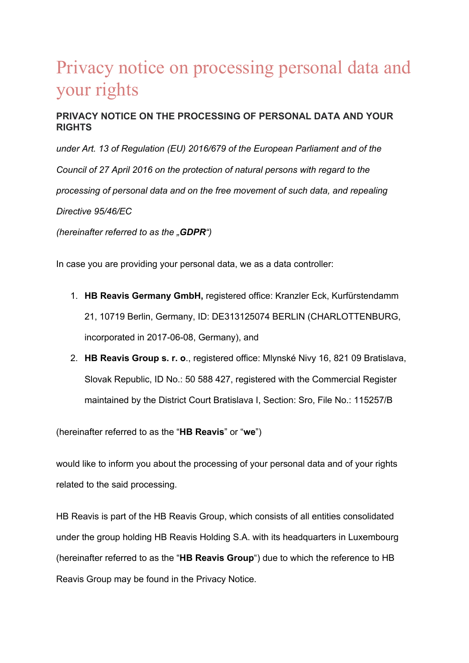# Privacy notice on processing personal data and your rights

# **PRIVACY NOTICE ON THE PROCESSING OF PERSONAL DATA AND YOUR RIGHTS**

*under Art. 13 of Regulation (EU) 2016/679 of the European Parliament and of the Council of 27 April 2016 on the protection of natural persons with regard to the processing of personal data and on the free movement of such data, and repealing Directive 95/46/EC (hereinafter referred to as the "GDPR")*

In case you are providing your personal data, we as a data controller:

- 1. **HB Reavis Germany GmbH,** registered office: Kranzler Eck, Kurfürstendamm 21, 10719 Berlin, Germany, ID: DE313125074 BERLIN (CHARLOTTENBURG, incorporated in 2017-06-08, Germany), and
- 2. **HB Reavis Group s. r. o**., registered office: Mlynské Nivy 16, 821 09 Bratislava, Slovak Republic, ID No.: 50 588 427, registered with the Commercial Register maintained by the District Court Bratislava I, Section: Sro, File No.: 115257/B

(hereinafter referred to as the "**HB Reavis**" or "**we**")

would like to inform you about the processing of your personal data and of your rights related to the said processing.

HB Reavis is part of the HB Reavis Group, which consists of all entities consolidated under the group holding HB Reavis Holding S.A. with its headquarters in Luxembourg (hereinafter referred to as the "**HB Reavis Group**") due to which the reference to HB Reavis Group may be found in the Privacy Notice.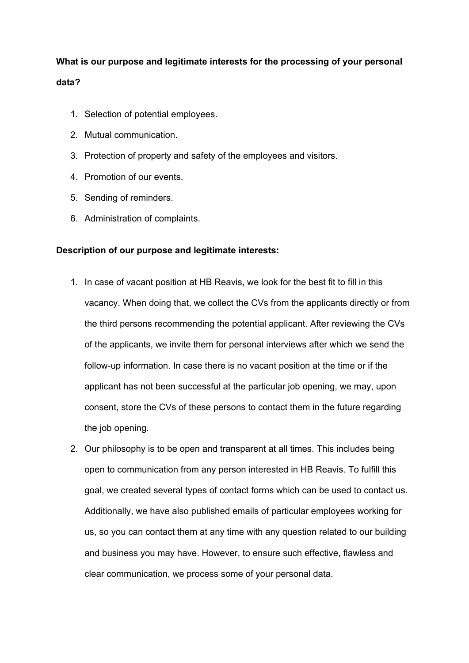# **What is our purpose and legitimate interests for the processing of your personal data?**

- 1. Selection of potential employees.
- 2. Mutual communication.
- 3. Protection of property and safety of the employees and visitors.
- 4. Promotion of our events.
- 5. Sending of reminders.
- 6. Administration of complaints.

# **Description of our purpose and legitimate interests:**

- 1. In case of vacant position at HB Reavis, we look for the best fit to fill in this vacancy. When doing that, we collect the CVs from the applicants directly or from the third persons recommending the potential applicant. After reviewing the CVs of the applicants, we invite them for personal interviews after which we send the follow-up information. In case there is no vacant position at the time or if the applicant has not been successful at the particular job opening, we may, upon consent, store the CVs of these persons to contact them in the future regarding the job opening.
- 2. Our philosophy is to be open and transparent at all times. This includes being open to communication from any person interested in HB Reavis. To fulfill this goal, we created several types of contact forms which can be used to contact us. Additionally, we have also published emails of particular employees working for us, so you can contact them at any time with any question related to our building and business you may have. However, to ensure such effective, flawless and clear communication, we process some of your personal data.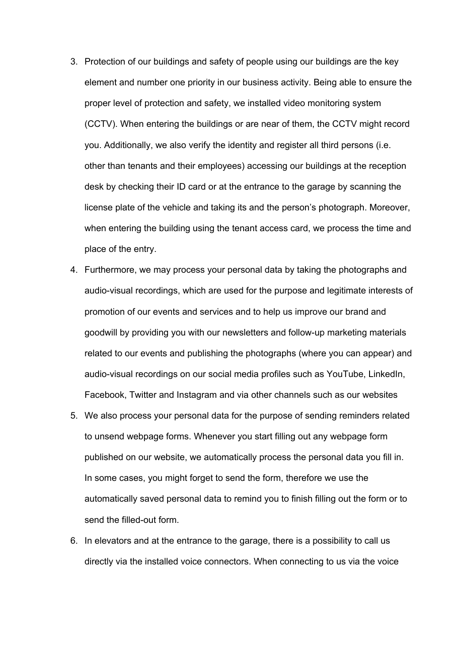- 3. Protection of our buildings and safety of people using our buildings are the key element and number one priority in our business activity. Being able to ensure the proper level of protection and safety, we installed video monitoring system (CCTV). When entering the buildings or are near of them, the CCTV might record you. Additionally, we also verify the identity and register all third persons (i.e. other than tenants and their employees) accessing our buildings at the reception desk by checking their ID card or at the entrance to the garage by scanning the license plate of the vehicle and taking its and the person's photograph. Moreover, when entering the building using the tenant access card, we process the time and place of the entry.
- 4. Furthermore, we may process your personal data by taking the photographs and audio-visual recordings, which are used for the purpose and legitimate interests of promotion of our events and services and to help us improve our brand and goodwill by providing you with our newsletters and follow-up marketing materials related to our events and publishing the photographs (where you can appear) and audio-visual recordings on our social media profiles such as YouTube, LinkedIn, Facebook, Twitter and Instagram and via other channels such as our websites
- 5. We also process your personal data for the purpose of sending reminders related to unsend webpage forms. Whenever you start filling out any webpage form published on our website, we automatically process the personal data you fill in. In some cases, you might forget to send the form, therefore we use the automatically saved personal data to remind you to finish filling out the form or to send the filled-out form.
- 6. In elevators and at the entrance to the garage, there is a possibility to call us directly via the installed voice connectors. When connecting to us via the voice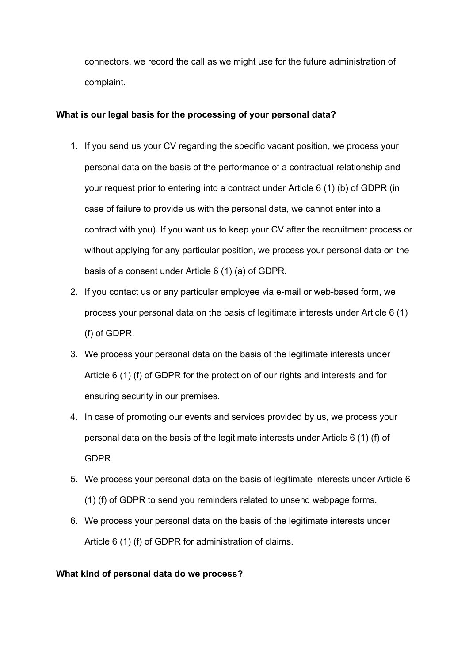connectors, we record the call as we might use for the future administration of complaint.

# **What is our legal basis for the processing of your personal data?**

- 1. If you send us your CV regarding the specific vacant position, we process your personal data on the basis of the performance of a contractual relationship and your request prior to entering into a contract under Article 6 (1) (b) of GDPR (in case of failure to provide us with the personal data, we cannot enter into a contract with you). If you want us to keep your CV after the recruitment process or without applying for any particular position, we process your personal data on the basis of a consent under Article 6 (1) (a) of GDPR.
- 2. If you contact us or any particular employee via e-mail or web-based form, we process your personal data on the basis of legitimate interests under Article 6 (1) (f) of GDPR.
- 3. We process your personal data on the basis of the legitimate interests under Article 6 (1) (f) of GDPR for the protection of our rights and interests and for ensuring security in our premises.
- 4. In case of promoting our events and services provided by us, we process your personal data on the basis of the legitimate interests under Article 6 (1) (f) of GDPR.
- 5. We process your personal data on the basis of legitimate interests under Article 6 (1) (f) of GDPR to send you reminders related to unsend webpage forms.
- 6. We process your personal data on the basis of the legitimate interests under Article 6 (1) (f) of GDPR for administration of claims.

# **What kind of personal data do we process?**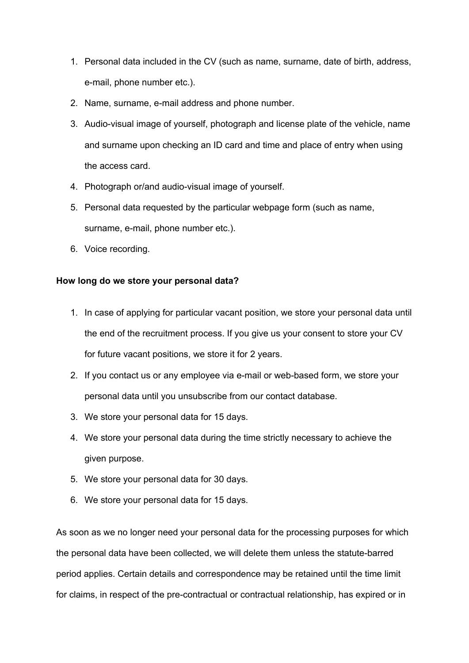- 1. Personal data included in the CV (such as name, surname, date of birth, address, e-mail, phone number etc.).
- 2. Name, surname, e-mail address and phone number.
- 3. Audio-visual image of yourself, photograph and license plate of the vehicle, name and surname upon checking an ID card and time and place of entry when using the access card.
- 4. Photograph or/and audio-visual image of yourself.
- 5. Personal data requested by the particular webpage form (such as name, surname, e-mail, phone number etc.).
- 6. Voice recording.

### **How long do we store your personal data?**

- 1. In case of applying for particular vacant position, we store your personal data until the end of the recruitment process. If you give us your consent to store your CV for future vacant positions, we store it for 2 years.
- 2. If you contact us or any employee via e-mail or web-based form, we store your personal data until you unsubscribe from our contact database.
- 3. We store your personal data for 15 days.
- 4. We store your personal data during the time strictly necessary to achieve the given purpose.
- 5. We store your personal data for 30 days.
- 6. We store your personal data for 15 days.

As soon as we no longer need your personal data for the processing purposes for which the personal data have been collected, we will delete them unless the statute-barred period applies. Certain details and correspondence may be retained until the time limit for claims, in respect of the pre-contractual or contractual relationship, has expired or in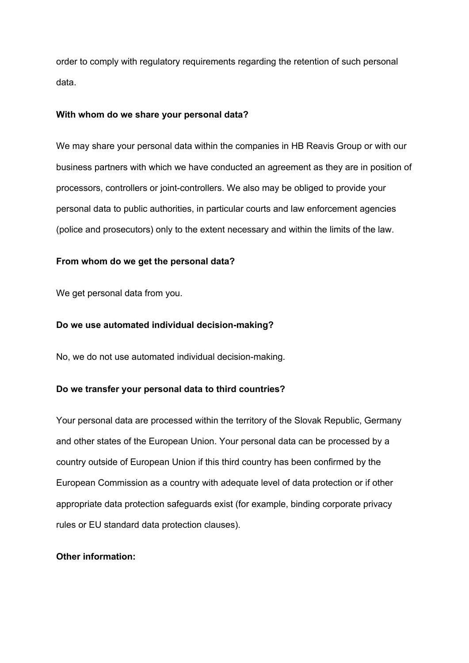order to comply with regulatory requirements regarding the retention of such personal data.

#### **With whom do we share your personal data?**

We may share your personal data within the companies in HB Reavis Group or with our business partners with which we have conducted an agreement as they are in position of processors, controllers or joint-controllers. We also may be obliged to provide your personal data to public authorities, in particular courts and law enforcement agencies (police and prosecutors) only to the extent necessary and within the limits of the law.

#### **From whom do we get the personal data?**

We get personal data from you.

#### **Do we use automated individual decision-making?**

No, we do not use automated individual decision-making.

#### **Do we transfer your personal data to third countries?**

Your personal data are processed within the territory of the Slovak Republic, Germany and other states of the European Union. Your personal data can be processed by a country outside of European Union if this third country has been confirmed by the European Commission as a country with adequate level of data protection or if other appropriate data protection safeguards exist (for example, binding corporate privacy rules or EU standard data protection clauses).

#### **Other information:**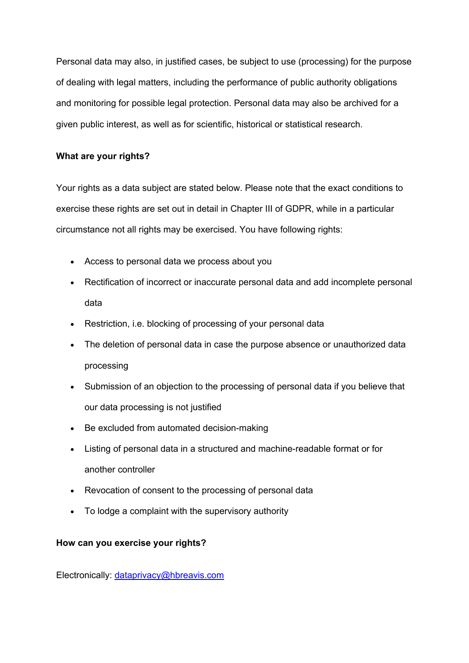Personal data may also, in justified cases, be subject to use (processing) for the purpose of dealing with legal matters, including the performance of public authority obligations and monitoring for possible legal protection. Personal data may also be archived for a given public interest, as well as for scientific, historical or statistical research.

# **What are your rights?**

Your rights as a data subject are stated below. Please note that the exact conditions to exercise these rights are set out in detail in Chapter III of GDPR, while in a particular circumstance not all rights may be exercised. You have following rights:

- Access to personal data we process about you
- Rectification of incorrect or inaccurate personal data and add incomplete personal data
- Restriction, i.e. blocking of processing of your personal data
- The deletion of personal data in case the purpose absence or unauthorized data processing
- Submission of an objection to the processing of personal data if you believe that our data processing is not justified
- Be excluded from automated decision-making
- Listing of personal data in a structured and machine-readable format or for another controller
- Revocation of consent to the processing of personal data
- To lodge a complaint with the supervisory authority

# **How can you exercise your rights?**

Electronically: dataprivacy@hbreavis.com